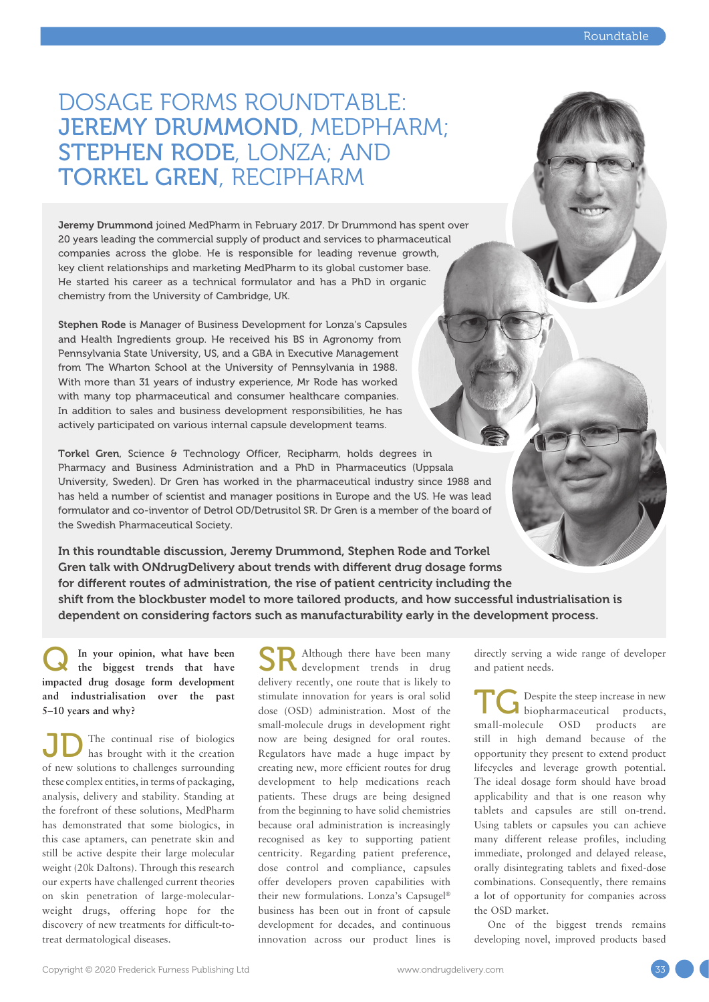## DOSAGE FORMS ROUNDTABLE: JEREMY DRUMMOND, MEDPHARM; STEPHEN RODE, LONZA; AND TORKEL GREN, RECIPHARM

Jeremy Drummond joined MedPharm in February 2017. Dr Drummond has spent over 20 years leading the commercial supply of product and services to pharmaceutical companies across the globe. He is responsible for leading revenue growth, key client relationships and marketing MedPharm to its global customer base. He started his career as a technical formulator and has a PhD in organic chemistry from the University of Cambridge, UK.

Stephen Rode is Manager of Business Development for Lonza's Capsules and Health Ingredients group. He received his BS in Agronomy from Pennsylvania State University, US, and a GBA in Executive Management from The Wharton School at the University of Pennsylvania in 1988. With more than 31 years of industry experience, Mr Rode has worked with many top pharmaceutical and consumer healthcare companies. In addition to sales and business development responsibilities, he has actively participated on various internal capsule development teams.

Torkel Gren, Science & Technology Officer, Recipharm, holds degrees in Pharmacy and Business Administration and a PhD in Pharmaceutics (Uppsala University, Sweden). Dr Gren has worked in the pharmaceutical industry since 1988 and has held a number of scientist and manager positions in Europe and the US. He was lead formulator and co-inventor of Detrol OD/Detrusitol SR. Dr Gren is a member of the board of the Swedish Pharmaceutical Society.

In this roundtable discussion, Jeremy Drummond, Stephen Rode and Torkel Gren talk with ONdrugDelivery about trends with different drug dosage forms for different routes of administration, the rise of patient centricity including the shift from the blockbuster model to more tailored products, and how successful industrialisation is dependent on considering factors such as manufacturability early in the development process.

In your opinion, what have been **the biggest trends that have impacted drug dosage form development and industrialisation over the past 5–10 years and why?**

The continual rise of biologics has brought with it the creation **D** The continual rise of biologics<br>of new solutions to challenges surrounding these complex entities, in terms of packaging, analysis, delivery and stability. Standing at the forefront of these solutions, MedPharm has demonstrated that some biologics, in this case aptamers, can penetrate skin and still be active despite their large molecular weight (20k Daltons). Through this research our experts have challenged current theories on skin penetration of large-molecularweight drugs, offering hope for the discovery of new treatments for difficult-totreat dermatological diseases.

Although there have been many development trends in drug delivery recently, one route that is likely to stimulate innovation for years is oral solid dose (OSD) administration. Most of the small-molecule drugs in development right now are being designed for oral routes. Regulators have made a huge impact by creating new, more efficient routes for drug development to help medications reach patients. These drugs are being designed from the beginning to have solid chemistries because oral administration is increasingly recognised as key to supporting patient centricity. Regarding patient preference, dose control and compliance, capsules offer developers proven capabilities with their new formulations. Lonza's Capsugel® business has been out in front of capsule development for decades, and continuous innovation across our product lines is SR

directly serving a wide range of developer and patient needs.

Despite the steep increase in new hiopharmaceutical products, TC Despite the steep increase in new<br>
small-molecule OSD products are still in high demand because of the opportunity they present to extend product lifecycles and leverage growth potential. The ideal dosage form should have broad applicability and that is one reason why tablets and capsules are still on-trend. Using tablets or capsules you can achieve many different release profiles, including immediate, prolonged and delayed release, orally disintegrating tablets and fixed-dose combinations. Consequently, there remains a lot of opportunity for companies across the OSD market.

One of the biggest trends remains developing novel, improved products based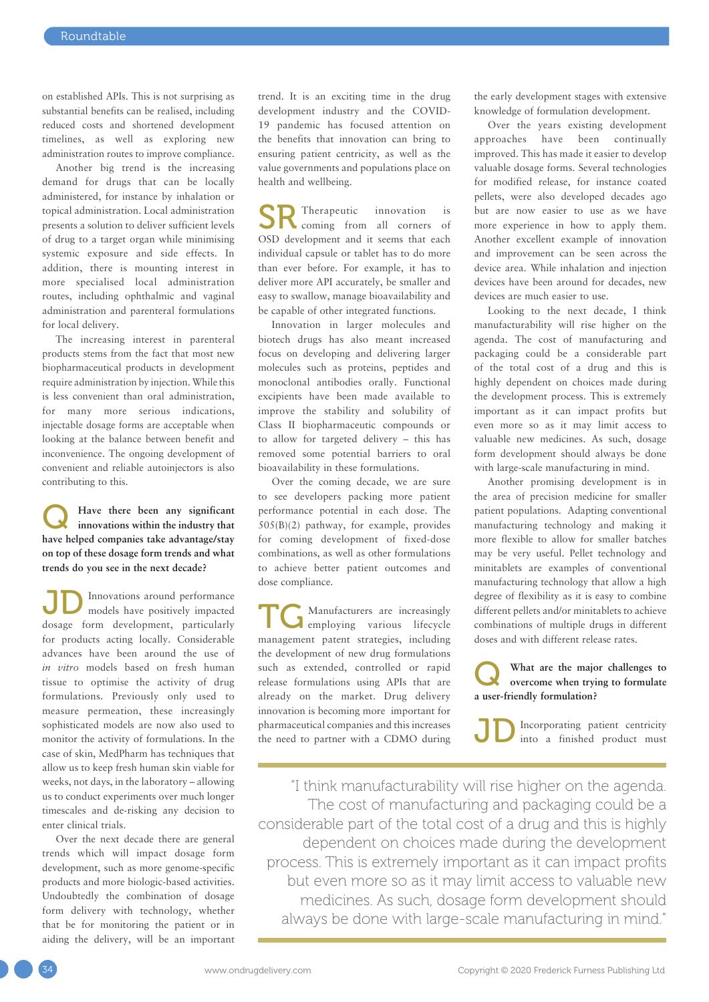on established APIs. This is not surprising as substantial benefits can be realised, including reduced costs and shortened development timelines, as well as exploring new administration routes to improve compliance.

Another big trend is the increasing demand for drugs that can be locally administered, for instance by inhalation or topical administration. Local administration presents a solution to deliver sufficient levels of drug to a target organ while minimising systemic exposure and side effects. In addition, there is mounting interest in more specialised local administration routes, including ophthalmic and vaginal administration and parenteral formulations for local delivery.

The increasing interest in parenteral products stems from the fact that most new biopharmaceutical products in development require administration by injection. While this is less convenient than oral administration, for many more serious indications, injectable dosage forms are acceptable when looking at the balance between benefit and inconvenience. The ongoing development of convenient and reliable autoinjectors is also contributing to this.

Q **Have there been any significant innovations within the industry that have helped companies take advantage/stay on top of these dosage form trends and what trends do you see in the next decade?**

Innovations around performance models have positively impacted dosage form development, particularly for products acting locally. Considerable advances have been around the use of *in vitro* models based on fresh human tissue to optimise the activity of drug formulations. Previously only used to measure permeation, these increasingly sophisticated models are now also used to monitor the activity of formulations. In the case of skin, MedPharm has techniques that allow us to keep fresh human skin viable for weeks, not days, in the laboratory – allowing us to conduct experiments over much longer timescales and de-risking any decision to enter clinical trials. JD

Over the next decade there are general trends which will impact dosage form development, such as more genome-specific products and more biologic-based activities. Undoubtedly the combination of dosage form delivery with technology, whether that be for monitoring the patient or in aiding the delivery, will be an important trend. It is an exciting time in the drug development industry and the COVID-19 pandemic has focused attention on the benefits that innovation can bring to ensuring patient centricity, as well as the value governments and populations place on health and wellbeing.

Therapeutic innovation is coming from all corners of OSD development and it seems that each individual capsule or tablet has to do more than ever before. For example, it has to deliver more API accurately, be smaller and easy to swallow, manage bioavailability and be capable of other integrated functions. SR

Innovation in larger molecules and biotech drugs has also meant increased focus on developing and delivering larger molecules such as proteins, peptides and monoclonal antibodies orally. Functional excipients have been made available to improve the stability and solubility of Class II biopharmaceutic compounds or to allow for targeted delivery – this has removed some potential barriers to oral bioavailability in these formulations.

Over the coming decade, we are sure to see developers packing more patient performance potential in each dose. The 505(B)(2) pathway, for example, provides for coming development of fixed-dose combinations, as well as other formulations to achieve better patient outcomes and dose compliance.

Manufacturers are increasingly employing various lifecycle management patent strategies, including the development of new drug formulations such as extended, controlled or rapid release formulations using APIs that are already on the market. Drug delivery innovation is becoming more important for pharmaceutical companies and this increases the need to partner with a CDMO during TG

the early development stages with extensive knowledge of formulation development.

Over the years existing development approaches have been continually improved. This has made it easier to develop valuable dosage forms. Several technologies for modified release, for instance coated pellets, were also developed decades ago but are now easier to use as we have more experience in how to apply them. Another excellent example of innovation and improvement can be seen across the device area. While inhalation and injection devices have been around for decades, new devices are much easier to use.

Looking to the next decade, I think manufacturability will rise higher on the agenda. The cost of manufacturing and packaging could be a considerable part of the total cost of a drug and this is highly dependent on choices made during the development process. This is extremely important as it can impact profits but even more so as it may limit access to valuable new medicines. As such, dosage form development should always be done with large-scale manufacturing in mind.

Another promising development is in the area of precision medicine for smaller patient populations. Adapting conventional manufacturing technology and making it more flexible to allow for smaller batches may be very useful. Pellet technology and minitablets are examples of conventional manufacturing technology that allow a high degree of flexibility as it is easy to combine different pellets and/or minitablets to achieve combinations of multiple drugs in different doses and with different release rates.

What are the major challenges to overcome when trying to formulate **a user-friendly formulation?**

Incorporating patient centricity into a finished product must JD

"I think manufacturability will rise higher on the agenda. The cost of manufacturing and packaging could be a considerable part of the total cost of a drug and this is highly dependent on choices made during the development process. This is extremely important as it can impact profits but even more so as it may limit access to valuable new medicines. As such, dosage form development should always be done with large-scale manufacturing in mind."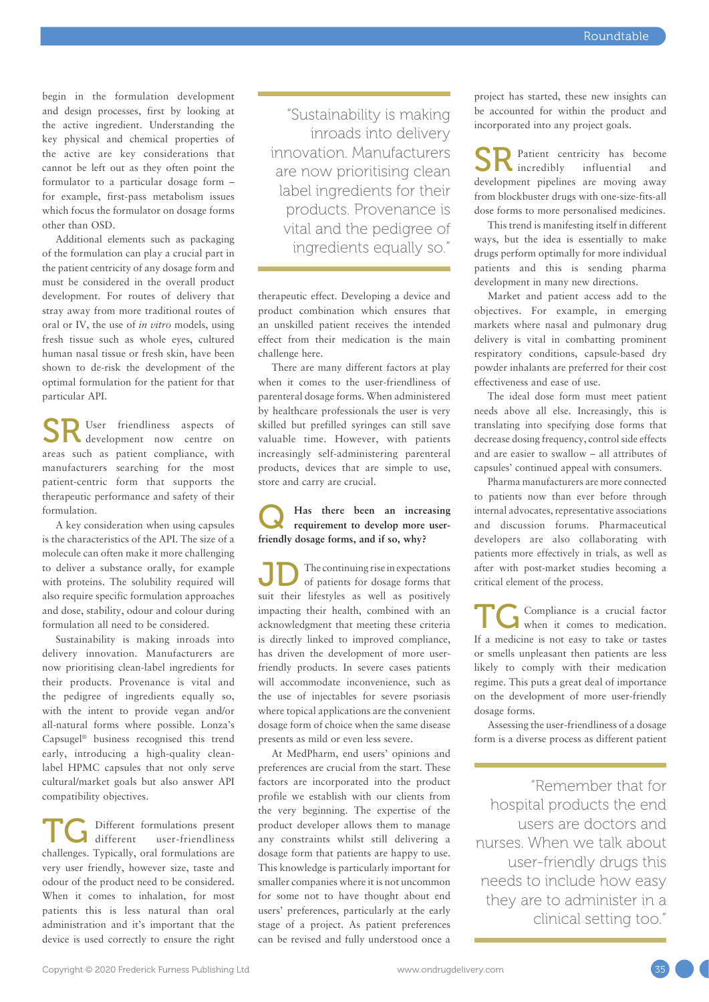begin in the formulation development and design processes, first by looking at the active ingredient. Understanding the key physical and chemical properties of the active are key considerations that cannot be left out as they often point the formulator to a particular dosage form – for example, first-pass metabolism issues which focus the formulator on dosage forms other than OSD.

Additional elements such as packaging of the formulation can play a crucial part in the patient centricity of any dosage form and must be considered in the overall product development. For routes of delivery that stray away from more traditional routes of oral or IV, the use of *in vitro* models, using fresh tissue such as whole eyes, cultured human nasal tissue or fresh skin, have been shown to de-risk the development of the optimal formulation for the patient for that particular API.

SR User friendliness aspects of development now centre on development now centre on areas such as patient compliance, with manufacturers searching for the most patient-centric form that supports the therapeutic performance and safety of their formulation.

A key consideration when using capsules is the characteristics of the API. The size of a molecule can often make it more challenging to deliver a substance orally, for example with proteins. The solubility required will also require specific formulation approaches and dose, stability, odour and colour during formulation all need to be considered.

Sustainability is making inroads into delivery innovation. Manufacturers are now prioritising clean-label ingredients for their products. Provenance is vital and the pedigree of ingredients equally so, with the intent to provide vegan and/or all-natural forms where possible. Lonza's Capsugel® business recognised this trend early, introducing a high-quality cleanlabel HPMC capsules that not only serve cultural/market goals but also answer API compatibility objectives.

Different formulations present<br>different user-friendliness user-friendliness TC Different formulations present<br>different user-friendliness<br>challenges. Typically, oral formulations are very user friendly, however size, taste and odour of the product need to be considered. When it comes to inhalation, for most patients this is less natural than oral administration and it's important that the device is used correctly to ensure the right

"Sustainability is making inroads into delivery innovation. Manufacturers are now prioritising clean label ingredients for their products. Provenance is vital and the pedigree of ingredients equally so."

therapeutic effect. Developing a device and product combination which ensures that an unskilled patient receives the intended effect from their medication is the main challenge here.

There are many different factors at play when it comes to the user-friendliness of parenteral dosage forms. When administered by healthcare professionals the user is very skilled but prefilled syringes can still save valuable time. However, with patients increasingly self-administering parenteral products, devices that are simple to use, store and carry are crucial.

### Q **Has there been an increasing requirement to develop more userfriendly dosage forms, and if so, why?**

The continuing rise in expectations of patients for dosage forms that JD The continuing rise in expectations<br>suit their lifestyles as well as positively impacting their health, combined with an acknowledgment that meeting these criteria is directly linked to improved compliance, has driven the development of more userfriendly products. In severe cases patients will accommodate inconvenience, such as the use of injectables for severe psoriasis where topical applications are the convenient dosage form of choice when the same disease presents as mild or even less severe.

At MedPharm, end users' opinions and preferences are crucial from the start. These factors are incorporated into the product profile we establish with our clients from the very beginning. The expertise of the product developer allows them to manage any constraints whilst still delivering a dosage form that patients are happy to use. This knowledge is particularly important for smaller companies where it is not uncommon for some not to have thought about end users' preferences, particularly at the early stage of a project. As patient preferences can be revised and fully understood once a

project has started, these new insights can be accounted for within the product and incorporated into any project goals.

Patient centricity has become SR Patient centricity has become<br>incredibly influential and development pipelines are moving away from blockbuster drugs with one-size-fits-all dose forms to more personalised medicines.

This trend is manifesting itself in different ways, but the idea is essentially to make drugs perform optimally for more individual patients and this is sending pharma development in many new directions.

Market and patient access add to the objectives. For example, in emerging markets where nasal and pulmonary drug delivery is vital in combatting prominent respiratory conditions, capsule-based dry powder inhalants are preferred for their cost effectiveness and ease of use.

The ideal dose form must meet patient needs above all else. Increasingly, this is translating into specifying dose forms that decrease dosing frequency, control side effects and are easier to swallow – all attributes of capsules' continued appeal with consumers.

Pharma manufacturers are more connected to patients now than ever before through internal advocates, representative associations and discussion forums. Pharmaceutical developers are also collaborating with patients more effectively in trials, as well as after with post-market studies becoming a critical element of the process.

Compliance is a crucial factor when it comes to medication. If a medicine is not easy to take or tastes or smells unpleasant then patients are less likely to comply with their medication regime. This puts a great deal of importance on the development of more user-friendly dosage forms. **TG** 

Assessing the user-friendliness of a dosage form is a diverse process as different patient

"Remember that for hospital products the end users are doctors and nurses. When we talk about user-friendly drugs this needs to include how easy they are to administer in a clinical setting too."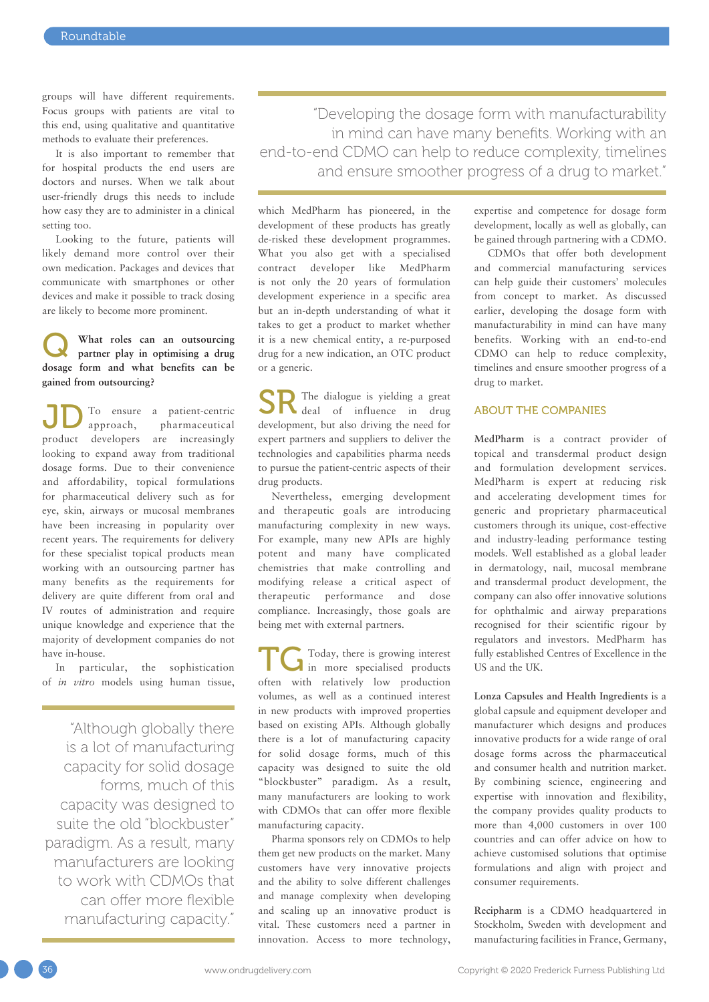groups will have different requirements. Focus groups with patients are vital to this end, using qualitative and quantitative methods to evaluate their preferences.

It is also important to remember that for hospital products the end users are doctors and nurses. When we talk about user-friendly drugs this needs to include how easy they are to administer in a clinical setting too.

Looking to the future, patients will likely demand more control over their own medication. Packages and devices that communicate with smartphones or other devices and make it possible to track dosing are likely to become more prominent.

#### What roles can an outsourcing **partner play in optimising a drug dosage form and what benefits can be gained from outsourcing?**

To ensure a patient-centric approach, pharmaceutical **D** To ensure a patient-centric<br>
approach, pharmaceutical<br>
product developers are increasingly looking to expand away from traditional dosage forms. Due to their convenience and affordability, topical formulations for pharmaceutical delivery such as for eye, skin, airways or mucosal membranes have been increasing in popularity over recent years. The requirements for delivery for these specialist topical products mean working with an outsourcing partner has many benefits as the requirements for delivery are quite different from oral and IV routes of administration and require unique knowledge and experience that the majority of development companies do not have in-house.

In particular, the sophistication of *in vitro* models using human tissue,

"Although globally there is a lot of manufacturing capacity for solid dosage forms, much of this capacity was designed to suite the old "blockbuster" paradigm. As a result, many manufacturers are looking to work with CDMOs that can offer more flexible manufacturing capacity."

"Developing the dosage form with manufacturability in mind can have many benefits. Working with an end-to-end CDMO can help to reduce complexity, timelines and ensure smoother progress of a drug to market."

which MedPharm has pioneered, in the development of these products has greatly de-risked these development programmes. What you also get with a specialised contract developer like MedPharm is not only the 20 years of formulation development experience in a specific area but an in-depth understanding of what it takes to get a product to market whether it is a new chemical entity, a re-purposed drug for a new indication, an OTC product or a generic.

The dialogue is yielding a great SR The dialogue is yielding a great<br>deal of influence in drug development, but also driving the need for expert partners and suppliers to deliver the technologies and capabilities pharma needs to pursue the patient-centric aspects of their drug products.

Nevertheless, emerging development and therapeutic goals are introducing manufacturing complexity in new ways. For example, many new APIs are highly potent and many have complicated chemistries that make controlling and modifying release a critical aspect of therapeutic performance and dose compliance. Increasingly, those goals are being met with external partners.

Today, there is growing interest Today, there is growing interest<br>in more specialised products often with relatively low production volumes, as well as a continued interest in new products with improved properties based on existing APIs. Although globally there is a lot of manufacturing capacity for solid dosage forms, much of this capacity was designed to suite the old "blockbuster" paradigm. As a result, many manufacturers are looking to work with CDMOs that can offer more flexible manufacturing capacity.

Pharma sponsors rely on CDMOs to help them get new products on the market. Many customers have very innovative projects and the ability to solve different challenges and manage complexity when developing and scaling up an innovative product is vital. These customers need a partner in innovation. Access to more technology, expertise and competence for dosage form development, locally as well as globally, can be gained through partnering with a CDMO.

CDMOs that offer both development and commercial manufacturing services can help guide their customers' molecules from concept to market. As discussed earlier, developing the dosage form with manufacturability in mind can have many benefits. Working with an end-to-end CDMO can help to reduce complexity, timelines and ensure smoother progress of a drug to market.

#### ABOUT THE COMPANIES

**MedPharm** is a contract provider of topical and transdermal product design and formulation development services. MedPharm is expert at reducing risk and accelerating development times for generic and proprietary pharmaceutical customers through its unique, cost-effective and industry-leading performance testing models. Well established as a global leader in dermatology, nail, mucosal membrane and transdermal product development, the company can also offer innovative solutions for ophthalmic and airway preparations recognised for their scientific rigour by regulators and investors. MedPharm has fully established Centres of Excellence in the US and the UK.

**Lonza Capsules and Health Ingredients** is a global capsule and equipment developer and manufacturer which designs and produces innovative products for a wide range of oral dosage forms across the pharmaceutical and consumer health and nutrition market. By combining science, engineering and expertise with innovation and flexibility, the company provides quality products to more than 4,000 customers in over 100 countries and can offer advice on how to achieve customised solutions that optimise formulations and align with project and consumer requirements.

**Recipharm** is a CDMO headquartered in Stockholm, Sweden with development and manufacturing facilities in France, Germany,